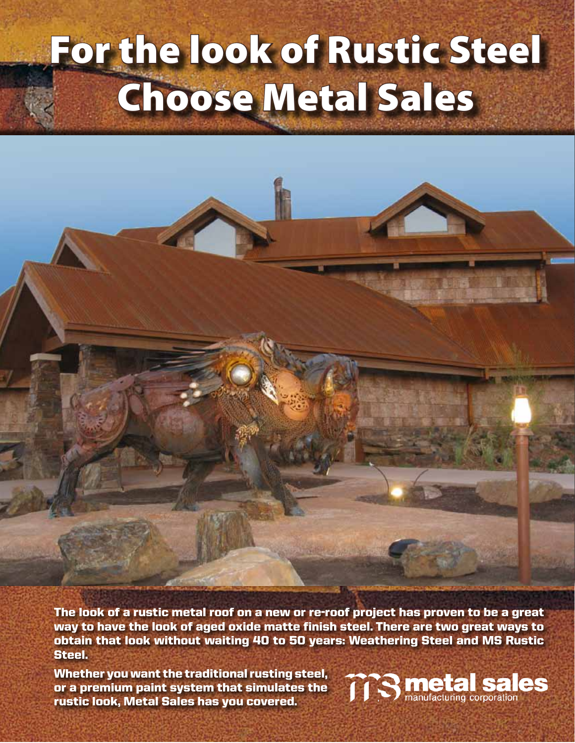## For the look of Rustic Steel Choose Metal Sales

The look of a rustic metal roof on a new or re-roof project has proven to be a great way to have the look of aged oxide matte finish steel. There are two great ways to obtain that look without waiting 40 to 50 years: Weathering Steel and MS Rustic Steel.

Whether you want the traditional rusting steel, or a premium paint system that simulates the rustic look, Metal Sales has you covered.